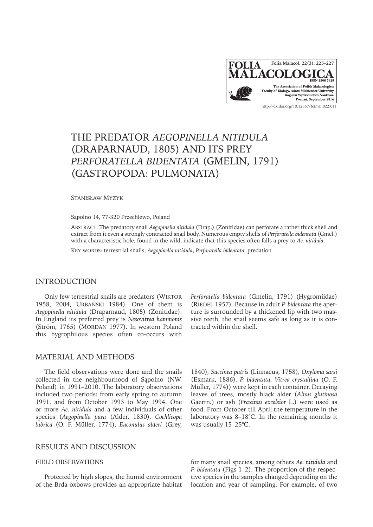

# THE PREDATOR *AEGOPINELLA NITIDULA* (DRAPARNAUD, 1805) AND ITS PREY *PERFORATELLA BIDENTATA* (GMELIN, 1791) (GASTROPODA: PULMONATA)

Stanisław Myzyk

Sąpolno 14, 77-320 Przechlewo, Poland

Abstract: The predatory snail *Aegopinella nitidula* (Drap.) (Zonitidae) can perforate a rather thick shell and extract from it even a strongly contracted snail body. Numerous empty shells of *Perforatella bidentata* (Gmel.) with a characteristic hole, found in the wild, indicate that this species often falls a prey to *Ae. nitidula*.

KEY WORDS: terrestrial snails, *Aegopinella nitidula*, *Perforatella bidentata*, predation

# INTRODUCTION

Only few terrestrial snails are predators (WIKTOR 1958, 2004, Urbański 1984). One of them is *Aegopinella nitidula* (Draparnaud, 1805) (Zonitidae). In England its preferred prey is *Nesovitrea hammonis* (Ström, 1765) (MORDAN 1977). In western Poland this hygrophilous species often co-occurs with

### MATERIAL AND METHODS

The field observations were done and the snails collected in the neighbourhood of Sąpolno (NW. Poland) in 1991–2010. The laboratory observations included two periods: from early spring to autumn 1991, and from October 1993 to May 1994. One or more *Ae. nitidula* and a few individuals of other species (*Aegopinella pura* (Alder, 1830)*, Cochlicopa lubrica* (O. F. Müller, 1774)*, Euconulus alderi* (Grey,

## RESULTS AND DISCUSSION

#### FIELD OBSERVATIONS

Protected by high slopes, the humid environment of the Brda oxbows provides an appropriate habitat

*Perforatella bidentata* (Gmelin, 1791) (Hygromiidae) (RIEDEL 1957). Because in adult *P. bidentata* the aperture is surrounded by a thickened lip with two massive teeth, the snail seems safe as long as it is contracted within the shell.

1840)*, Succinea putris* (Linnaeus, 1758)*, Oxyloma sarsi*  (Esmark, 1886)*, P. bidentata, Vitrea crystallina* (O. F. Müller, 1774)) were kept in each container. Decaying leaves of trees, mostly black alder (*Alnus glutinosa* Gaertn.) or ash (*Fraxinus excelsior* L.) were used as food. From October till April the temperature in the laboratory was 8–18°C. In the remaining months it was usually 15–25°C.

for many snail species, among others *Ae. nitidula* and *P. bidentata* (Figs 1–2). The proportion of the respective species in the samples changed depending on the location and year of sampling. For example, of two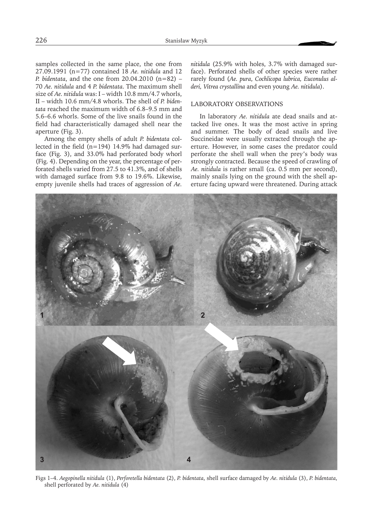samples collected in the same place, the one from 27.09.1991 (n=77) contained 18 *Ae. nitidula* and 12 *P. bidentata*, and the one from 20.04.2010 (n=82) – 70 *Ae. nitidula* and 4 *P. bidentata*. The maximum shell size of *Ae. nitidula* was: I – width 10.8 mm/4.7 whorls, II – width 10.6 mm/4.8 whorls. The shell of *P. bidentata* reached the maximum width of 6.8–9.5 mm and 5.6–6.6 whorls. Some of the live snails found in the field had characteristically damaged shell near the aperture (Fig. 3).

Among the empty shells of adult *P. bidentata* collected in the field (n=194) 14.9% had damaged surface (Fig. 3), and 33.0% had perforated body whorl (Fig. 4). Depending on the year, the percentage of perforated shells varied from 27.5 to 41.3%, and of shells with damaged surface from 9.8 to 19.6%. Likewise, empty juvenile shells had traces of aggression of *Ae.*  *nitidula* (25.9% with holes, 3.7% with damaged surface). Perforated shells of other species were rather rarely found (*Ae. pura*, *Cochlicopa lubrica, Euconulus alderi, Vitrea crystallina* and even young *Ae. nitidula*).

#### LABORATORY OBSERVATIONS

In laboratory *Ae. nitidula* ate dead snails and attacked live ones. It was the most active in spring and summer. The body of dead snails and live Succineidae were usually extracted through the aperture. However, in some cases the predator could perforate the shell wall when the prey's body was strongly contracted. Because the speed of crawling of *Ae. nitidula* is rather small (ca. 0.5 mm per second), mainly snails lying on the ground with the shell aperture facing upward were threatened. During attack

 $\overline{2}$  $\overline{3}$ Δ

Figs 1–4. *Aegopinella nitidula* (1), *Perforetella bidentata* (2), *P. bidentata*, shell surface damaged by *Ae. nitidula* (3), *P. bidentata*, shell perforated by *Ae. nitidula* (4)